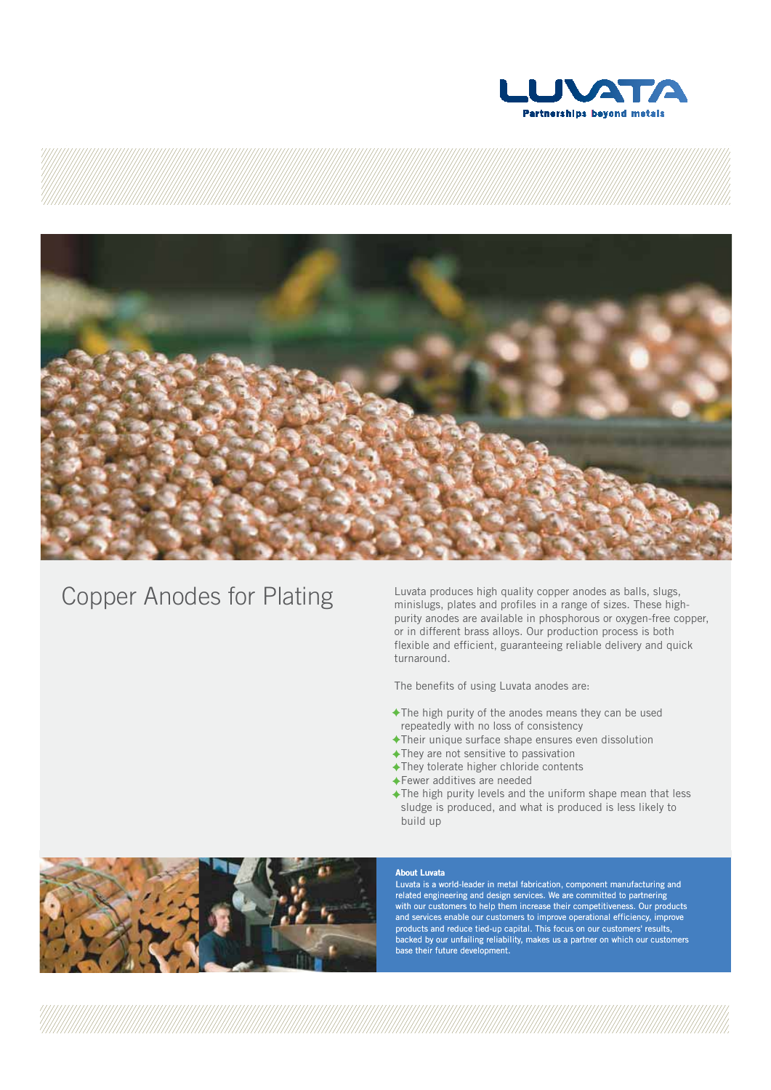

# Copper Anodes for Plating

 Luvata produces high quality copper anodes as balls, slugs, minislugs, plates and profiles in a range of sizes. These high purity anodes are available in phosphorous or oxygen-free copper, or in different brass alloys. Our production process is both flexible and efficient, guaranteeing reliable delivery and quick turnaround.

The benefits of using Luvata anodes are:

- The high purity of the anodes means they can be used repeatedly with no loss of consistency
- Their unique surface shape ensures even dissolution
- They are not sensitive to passivation
- They tolerate higher chloride contents
- Fewer additives are needed
- The high purity levels and the uniform shape mean that less sludge is produced, and what is produced is less likely to build up



#### **About Luvata**

Luvata is a world-leader in metal fabrication, component manufacturing and related engineering and design services. We are committed to partnering with our customers to help them increase their competitiveness. Our products and services enable our customers to improve operational efficiency, improve products and reduce tied-up capital. This focus on our customers' results, backed by our unfailing reliability, makes us a partner on which our customers base their future development.